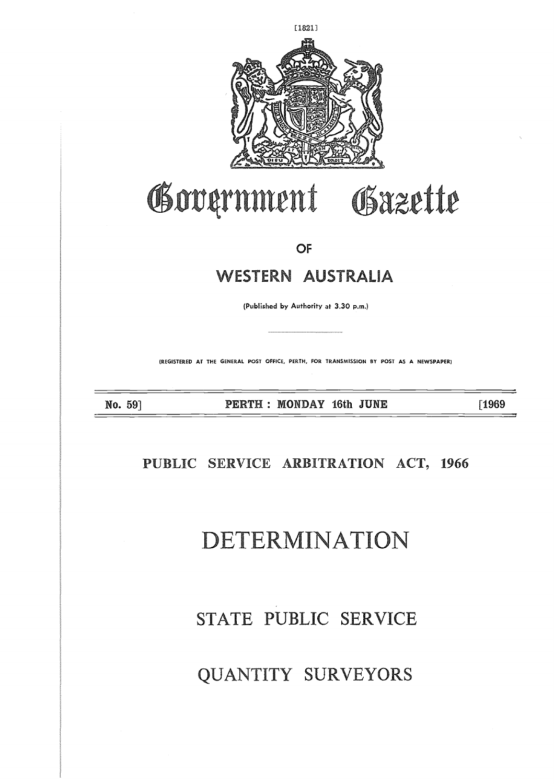

# Government Gazette

**OF**

# WESTERN **AUSTALIA PEET7 : MONDAY 16th JUNE [1969**

(Published by Authority at 3.30 p.m.)

**(REGISTERED AT THE GENERAL POST OFFICE, PERTH, FOR TRANSMISSION BY POST AS A NEWSPAPER)**

**No. 59]**  $\frac{1}{\sqrt{2}}$ 

# **PUBLIC SERVICE ARBITRATION ACT, 1966**

# **DETERMIN A Io**

# STATE PUBLIC SERVICE

# QUANTITY SURVEYORS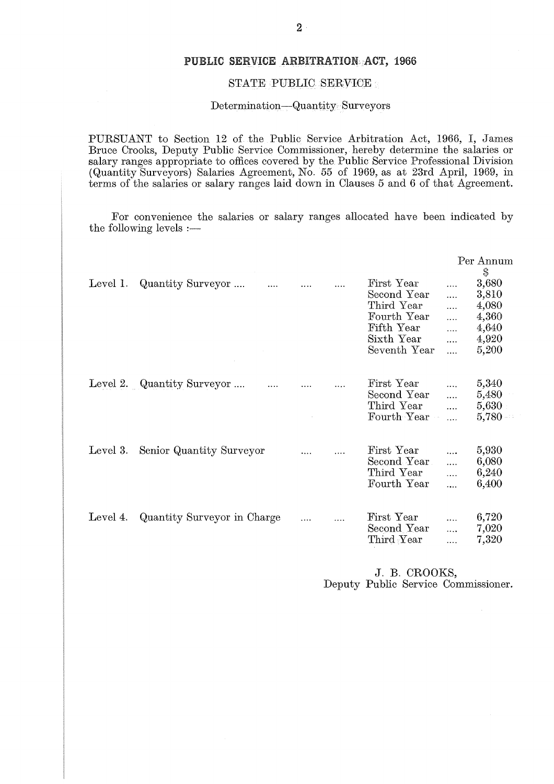### **PUBLIC** SERVICE ARBITRATION **ACT,** 1966

### STATE PUBLIC SERVICE

### Determination—Quantity Surveyors

PURSUANT to Section 12 of the Public Service Arbitration Act, 1966, I, James Bruce Crooks, Deputy Public Service Commissioner, hereby determine the salaries or salary ranges appropriate to offices covered by the Public Service Professional Division (Quantity Surveyors) Salaries Agreement, No. 55 of 1969, as at 23rd April, 1969, in terms of the salaries or salary ranges laid down in Clauses 5 and 6 of that Agreement.

For convenience the salaries or salary ranges allocated have been indicated by the following levels :—

|          |                             |   |                                                                                                    |                                                | Per Annum<br>$\mathbb{S}$                                   |
|----------|-----------------------------|---|----------------------------------------------------------------------------------------------------|------------------------------------------------|-------------------------------------------------------------|
| Level 1. | Quantity Surveyor           |   | First Year<br>Second Year<br>Third Year<br>Fourth Year<br>Fifth Year<br>Sixth Year<br>Seventh Year | $\cdots$<br>.<br>.<br>.<br>$\cdots$<br>.<br>.  | 3,680<br>3,810<br>4,080<br>4,360<br>4,640<br>4,920<br>5,200 |
|          | Level 2. Quantity Surveyor  |   | First Year<br>Second Year<br>Third Year<br>Fourth Year                                             | $\ddotsc$<br>$\cdots$<br>$\cdots$<br>$\cdots$  | 5,340<br>5,480<br>5,630<br>5,780                            |
| Level 3. | Senior Quantity Surveyor    |   | First Year<br>Second Year<br>Third Year<br>Fourth Year                                             | $\cdots$<br>$\ddotsc$<br>$\cdots$<br>$\ddotsc$ | 5,930<br>6,080<br>6,240<br>6,400                            |
| Level 4. | Quantity Surveyor in Charge | . | First Year<br>Second Year<br>$\hbox{Third Year}$                                                   | $\ddotsc$<br>.                                 | 6,720<br>7,020<br>7,320                                     |

J. B. CROOKS, Deputy Public Service Commissioner.